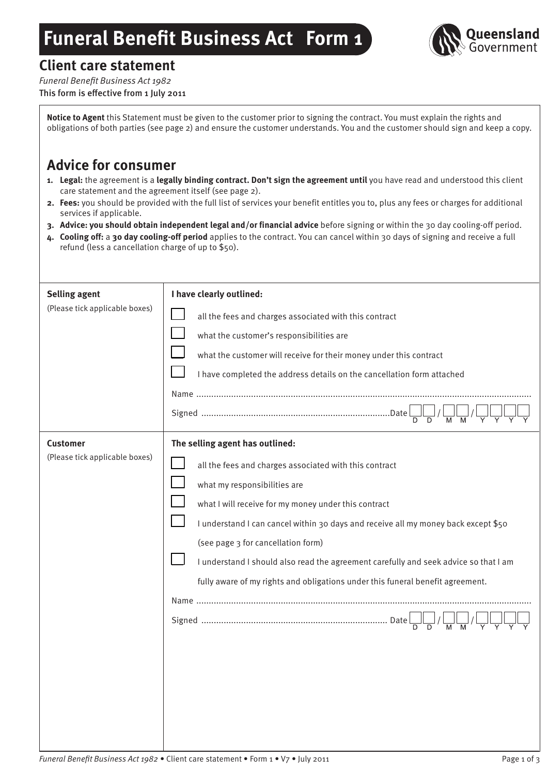# **Funeral Benefit Business Act Form 1**



# **Client care statement**

*Funeral Benefit Business Act 1982* This form is effective from 1 July 2011

**Notice to Agent** this Statement must be given to the customer prior to signing the contract. You must explain the rights and obligations of both parties (see page 2) and ensure the customer understands. You and the customer should sign and keep a copy.

# **Advice for consumer**

- **1. Legal:** the agreement is a **legally binding contract. Don't sign the agreement until** you have read and understood this client care statement and the agreement itself (see page 2).
- **2. Fees:** you should be provided with the full list of services your benefit entitles you to, plus any fees or charges for additional services if applicable.
- **3. Advice: you should obtain independent legal and/or financial advice** before signing or within the 30 day cooling-off period.
- **4. Cooling off:** a **30 day cooling-off period** applies to the contract. You can cancel within 30 days of signing and receive a full refund (less a cancellation charge of up to \$50).

| <b>Selling agent</b><br>(Please tick applicable boxes) | I have clearly outlined:<br>all the fees and charges associated with this contract<br>what the customer's responsibilities are<br>what the customer will receive for their money under this contract<br>I have completed the address details on the cancellation form attached                                                                                                                                                                                                                                           |
|--------------------------------------------------------|--------------------------------------------------------------------------------------------------------------------------------------------------------------------------------------------------------------------------------------------------------------------------------------------------------------------------------------------------------------------------------------------------------------------------------------------------------------------------------------------------------------------------|
| <b>Customer</b><br>(Please tick applicable boxes)      | The selling agent has outlined:<br>all the fees and charges associated with this contract<br>what my responsibilities are<br>what I will receive for my money under this contract<br>I understand I can cancel within 30 days and receive all my money back except \$50<br>(see page 3 for cancellation form)<br>I understand I should also read the agreement carefully and seek advice so that I am<br>fully aware of my rights and obligations under this funeral benefit agreement.<br>$\overline{M}$ $\overline{M}$ |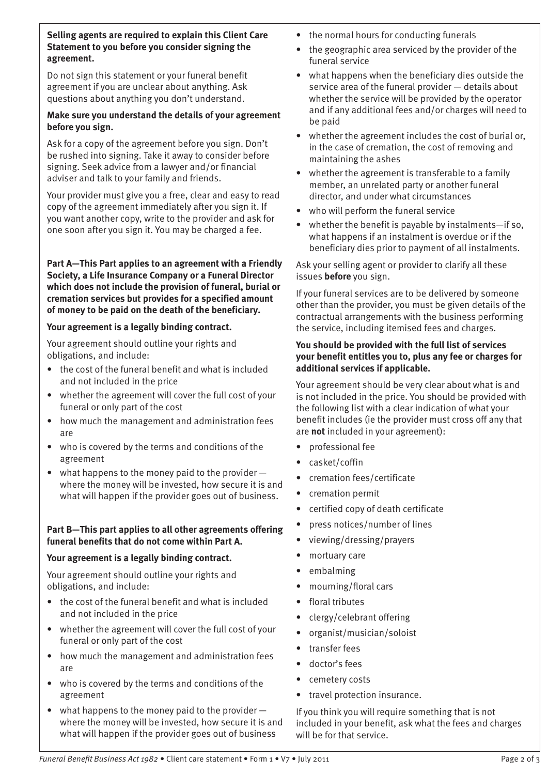**Selling agents are required to explain this Client Care Statement to you before you consider signing the agreement.**

Do not sign this statement or your funeral benefit agreement if you are unclear about anything. Ask questions about anything you don't understand.

#### **Make sure you understand the details of your agreement before you sign.**

Ask for a copy of the agreement before you sign. Don't be rushed into signing. Take it away to consider before signing. Seek advice from a lawyer and/or financial adviser and talk to your family and friends.

Your provider must give you a free, clear and easy to read copy of the agreement immediately after you sign it. If you want another copy, write to the provider and ask for one soon after you sign it. You may be charged a fee.

**Part A—This Part applies to an agreement with a Friendly Society, a Life Insurance Company or a Funeral Director which does not include the provision of funeral, burial or cremation services but provides for a specified amount of money to be paid on the death of the beneficiary.**

## **Your agreement is a legally binding contract.**

Your agreement should outline your rights and obligations, and include:

- the cost of the funeral benefit and what is included and not included in the price
- whether the agreement will cover the full cost of your funeral or only part of the cost
- how much the management and administration fees are
- who is covered by the terms and conditions of the agreement
- what happens to the money paid to the provider  $$ where the money will be invested, how secure it is and what will happen if the provider goes out of business.

#### **Part B—This part applies to all other agreements offering funeral benefits that do not come within Part A.**

#### **Your agreement is a legally binding contract.**

Your agreement should outline your rights and obligations, and include:

- the cost of the funeral benefit and what is included and not included in the price
- whether the agreement will cover the full cost of your funeral or only part of the cost
- how much the management and administration fees are
- who is covered by the terms and conditions of the agreement
- what happens to the money paid to the provider  $$ where the money will be invested, how secure it is and what will happen if the provider goes out of business
- the normal hours for conducting funerals
- the geographic area serviced by the provider of the funeral service
- what happens when the beneficiary dies outside the service area of the funeral provider — details about whether the service will be provided by the operator and if any additional fees and/or charges will need to be paid
- whether the agreement includes the cost of burial or, in the case of cremation, the cost of removing and maintaining the ashes
- whether the agreement is transferable to a family member, an unrelated party or another funeral director, and under what circumstances
- who will perform the funeral service
- whether the benefit is payable by instalments-if so, what happens if an instalment is overdue or if the beneficiary dies prior to payment of all instalments.

Ask your selling agent or provider to clarify all these issues **before** you sign.

If your funeral services are to be delivered by someone other than the provider, you must be given details of the contractual arrangements with the business performing the service, including itemised fees and charges.

#### **You should be provided with the full list of services your benefit entitles you to, plus any fee or charges for additional services if applicable.**

Your agreement should be very clear about what is and is not included in the price. You should be provided with the following list with a clear indication of what your benefit includes (ie the provider must cross off any that are **not** included in your agreement):

- professional fee
- casket/coffin
- • cremation fees/certificate
- cremation permit
- certified copy of death certificate
- press notices/number of lines
- viewing/dressing/prayers
- mortuary care
- embalming
- mourning/floral cars
- floral tributes
- clergy/celebrant offering
- organist/musician/soloist
- transfer fees
- doctor's fees
- cemetery costs
- travel protection insurance.

If you think you will require something that is not included in your benefit, ask what the fees and charges will be for that service.